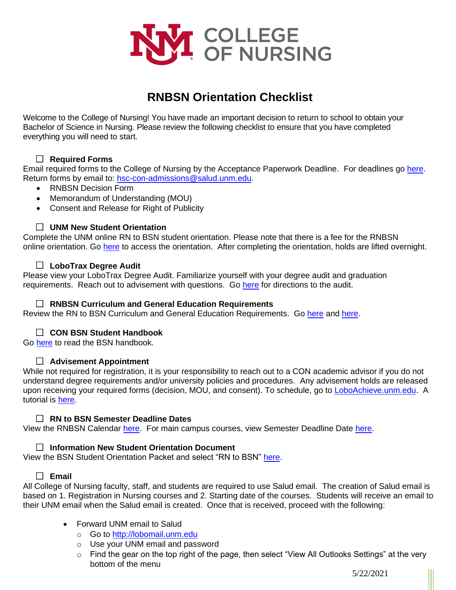

# **RNBSN Orientation Checklist**

Welcome to the College of Nursing! You have made an important decision to return to school to obtain your Bachelor of Science in Nursing. Please review the following checklist to ensure that you have completed everything you will need to start.

### **Required Forms**

Email required forms to the College of Nursing by the Acceptance Paperwork Deadline. For deadlines go [here.](https://rnbsnonline.unm.edu/programs/rn-to-bsn_calendar.aspx) Return forms by email to: [hsc-con-admissions@salud.unm.edu.](mailto:hsc-con-admissions@salud.unm.edu)

- RNBSN Decision Form
- Memorandum of Understanding (MOU)
- Consent and Release for Right of Publicity

## **UNM New Student Orientation**

Complete the UNM online RN to BSN student orientation. Please note that there is a fee for the RNBSN online orientation. Go [here](https://secure.vzorientation.com/unm/default.aspx) to access the orientation. After completing the orientation, holds are lifted overnight.

### **LoboTrax Degree Audit**

Please view your LoboTrax Degree Audit. Familiarize yourself with your degree audit and graduation requirements. Reach out to advisement with questions. Go [here](https://admissions.unm.edu/future-students/transfer/lobotrax-audit.html) for directions to the audit.

#### **RNBSN Curriculum and General Education Requirements**

Review the RN to BSN Curriculum and General Education Requirements. Go [here](https://rnbsnonline.unm.edu/programs/rn-to-bsn.aspx#courses) and [here.](https://gened.unm.edu/)

#### **CON BSN Student Handbook**

Go [here](https://hsc.unm.edu/nursing/students/resources/handbook.html) to read the BSN handbook.

#### **Advisement Appointment**

While not required for registration, it is your responsibility to reach out to a CON academic advisor if you do not understand degree requirements and/or university policies and procedures. Any advisement holds are released upon receiving your required forms (decision, MOU, and consent). To schedule, go to [LoboAchieve.unm.edu.](https://loboauth.unm.edu/adfs/oauth2/authorize?response_type=code&client_id=A968882D-5CEC-4D38-A6E5-09AFF5D94A7A&resource=https://loboachieve.unm.edu&redirect_uri=https://loboachieve.unm.edu/oauth-response) A tutorial is [here.](http://advisement.unm.edu/resources/technology/loboachieve/index.html)

#### **RN to BSN Semester Deadline Dates**

View the RNBSN Calendar [here.](https://rnbsnonline.unm.edu/programs/rn-to-bsn_calendar.aspx) For main campus courses, view Semester Deadline Date [here.](http://registrar.unm.edu/)

#### **Information New Student Orientation Document**

View the BSN Student Orientation Packet and select "RN to BSN" [here.](https://hsc.unm.edu/nursing/students/start/orientation.html)

## **Email**

All College of Nursing faculty, staff, and students are required to use Salud email. The creation of Salud email is based on 1. Registration in Nursing courses and 2. Starting date of the courses. Students will receive an email to their UNM email when the Salud email is created. Once that is received, proceed with the following:

- Forward UNM email to Salud
	- o Go to [http://lobomail.unm.edu](http://lobomail.unm.edu/)
	- o Use your UNM email and password
	- o Find the gear on the top right of the page, then select "View All Outlooks Settings" at the very bottom of the menu

5/22/2021